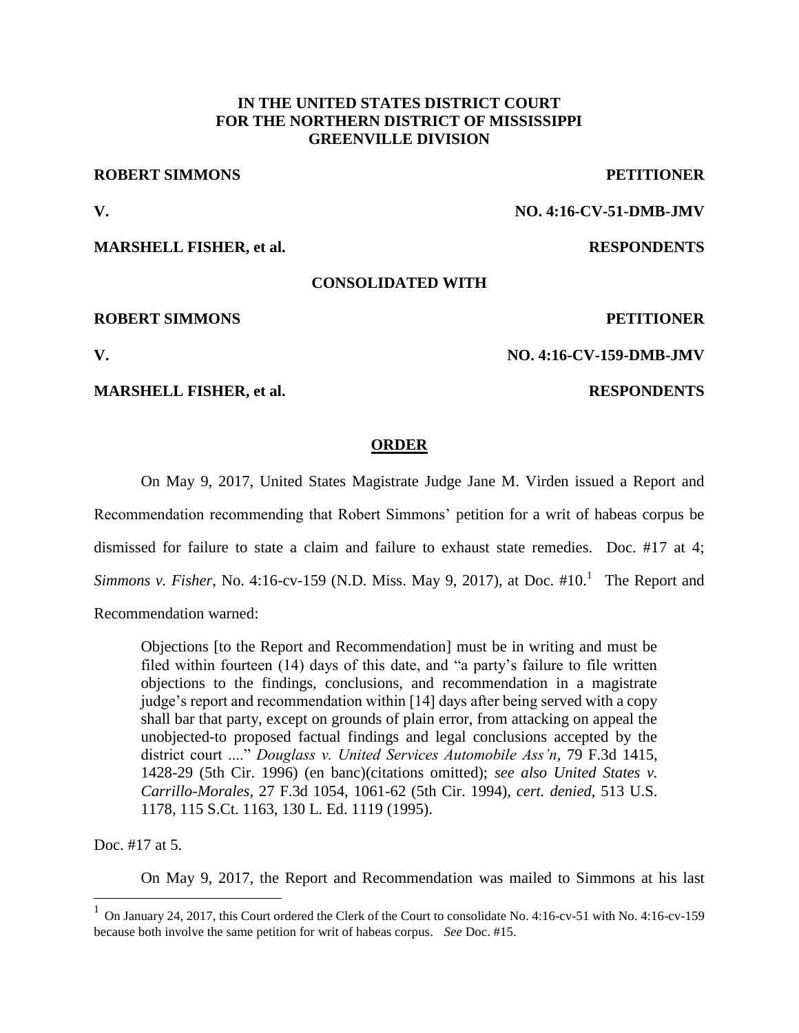# **IN THE UNITED STATES DISTRICT COURT FOR THE NORTHERN DISTRICT OF MISSISSIPPI GREENVILLE DIVISION**

# **ROBERT SIMMONS PETITIONER**

**V. NO. 4:16-CV-51-DMB-JMV**

## **MARSHELL FISHER, et al. RESPONDENTS**

## **CONSOLIDATED WITH**

### **ROBERT SIMMONS PETITIONER**

**V. NO. 4:16-CV-159-DMB-JMV**

## **MARSHELL FISHER, et al. RESPONDENTS**

## **ORDER**

On May 9, 2017, United States Magistrate Judge Jane M. Virden issued a Report and Recommendation recommending that Robert Simmons' petition for a writ of habeas corpus be dismissed for failure to state a claim and failure to exhaust state remedies. Doc. #17 at 4; Simmons v. Fisher, No. 4:16-cv-159 (N.D. Miss. May 9, 2017), at Doc. #10.<sup>1</sup> The Report and Recommendation warned:

Objections [to the Report and Recommendation] must be in writing and must be filed within fourteen (14) days of this date, and "a party's failure to file written objections to the findings, conclusions, and recommendation in a magistrate judge's report and recommendation within [14] days after being served with a copy shall bar that party, except on grounds of plain error, from attacking on appeal the unobjected-to proposed factual findings and legal conclusions accepted by the district court ...." *Douglass v. United Services Automobile Ass'n*, 79 F.3d 1415, 1428-29 (5th Cir. 1996) (en banc)(citations omitted); *see also United States v. Carrillo-Morales*, 27 F.3d 1054, 1061-62 (5th Cir. 1994), *cert. denied*, 513 U.S. 1178, 115 S.Ct. 1163, 130 L. Ed. 1119 (1995).

Doc. #17 at 5.

 $\overline{a}$ 

On May 9, 2017, the Report and Recommendation was mailed to Simmons at his last

<sup>&</sup>lt;sup>1</sup> On January 24, 2017, this Court ordered the Clerk of the Court to consolidate No. 4:16-cv-51 with No. 4:16-cv-159 because both involve the same petition for writ of habeas corpus. *See* Doc. #15.